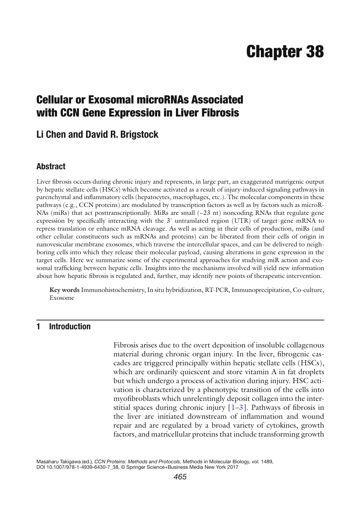# **Chapter 38**

## **Cellular or Exosomal microRNAs Associated with CCN Gene Expression in Liver Fibrosis**

## **Li Chen and David R. Brigstock**

#### **Abstract**

Liver fibrosis occurs during chronic injury and represents, in large part, an exaggerated matrigenic output by hepatic stellate cells (HSCs) which become activated as a result of injury-induced signaling pathways in parenchymal and inflammatory cells (hepatocytes, macrophages, etc.). The molecular components in these pathways (e.g., CCN proteins) are modulated by transcription factors as well as by factors such as microR-NAs (miRs) that act posttranscriptionally. MiRs are small  $(-23$  nt) noncoding RNAs that regulate gene expression by specifically interacting with the  $3'$  untranslated region (UTR) of target gene mRNA to repress translation or enhance mRNA cleavage. As well as acting in their cells of production, miRs (and other cellular constituents such as mRNAs and proteins) can be liberated from their cells of origin in nanovesicular membrane exosomes, which traverse the intercellular spaces, and can be delivered to neighboring cells into which they release their molecular payload, causing alterations in gene expression in the target cells. Here we summarize some of the experimental approaches for studying miR action and exosomal trafficking between hepatic cells. Insights into the mechanisms involved will yield new information about how hepatic fibrosis is regulated and, further, may identify new points of therapeutic intervention.

**Key words** Immunohistochemistry , In situ hybridization , RT-PCR , Immunoprecipitation , Co-culture , Exosome

#### **1 Introduction**

Fibrosis arises due to the overt deposition of insoluble collagenous material during chronic organ injury. In the liver, fibrogenic cascades are triggered principally within hepatic stellate cells (HSCs), which are ordinarily quiescent and store vitamin A in fat droplets but which undergo a process of activation during injury. HSC activation is characterized by a phenotypic transition of the cells into myofibroblasts which unrelentingly deposit collagen into the interstitial spaces during chronic injury  $[1-3]$ . Pathways of fibrosis in the liver are initiated downstream of inflammation and wound repair and are regulated by a broad variety of cytokines, growth factors, and matricellular proteins that include transforming growth

Masaharu Takigawa (ed.), *CCN Proteins: Methods and Protocols*, Methods in Molecular Biology, vol. 1489, DOI 10.1007/978-1-4939-6430-7\_38, © Springer Science+Business Media New York 2017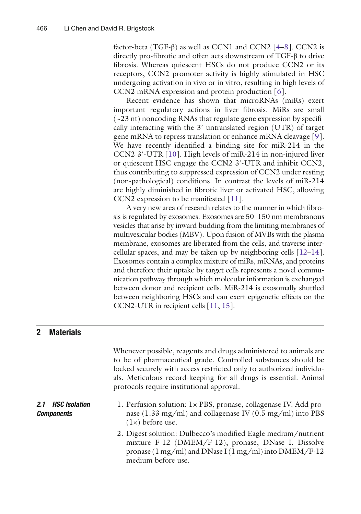factor-beta (TGF-β) as well as CCN1 and CCN2  $[4-8]$ . CCN2 is directly pro-fibrotic and often acts downstream of  $TGF-\beta$  to drive fibrosis. Whereas quiescent HSCs do not produce CCN2 or its receptors, CCN2 promoter activity is highly stimulated in HSC undergoing activation in vivo or in vitro, resulting in high levels of CCN2 mRNA expression and protein production [6].

Recent evidence has shown that microRNAs (miRs) exert important regulatory actions in liver fibrosis. MiRs are small  $(-23$  nt) noncoding RNAs that regulate gene expression by specifically interacting with the  $3'$  untranslated region (UTR) of target gene mRNA to repress translation or enhance mRNA cleavage [9]. We have recently identified a binding site for miR-214 in the CCN2 3′- UTR[\[ 10](#page-15-0)]. High levels of miR-214 in non-injured liver or quiescent HSC engage the CCN2 3'-UTR and inhibit CCN2, thus contributing to suppressed expression of CCN2 under resting (non-pathological) conditions. In contrast the levels of miR-214 are highly diminished in fibrotic liver or activated HSC, allowing CCN2 expression to be manifested [11].

A very new area of research relates to the manner in which fibrosis is regulated by exosomes. Exosomes are 50–150 nm membranous vesicles that arise by inward budding from the limiting membranes of multivesicular bodies (MBV). Upon fusion of MVBs with the plasma membrane, exosomes are liberated from the cells, and traverse intercellular spaces, and may be taken up by neighboring cells  $[12-14]$ . Exosomes contain a complex mixture of miRs, mRNAs, and proteins and therefore their uptake by target cells represents a novel communication pathway through which molecular information is exchanged between donor and recipient cells. MiR-214 is exosomally shuttled between neighboring HSCs and can exert epigenetic effects on the CCN2-UTR in recipient cells [\[ 11, 15\]](#page-15-0).

### **2 Materials**

|                                        | Whenever possible, reagents and drugs administered to animals are<br>to be of pharmaceutical grade. Controlled substances should be<br>locked securely with access restricted only to authorized individu-<br>als. Meticulous record-keeping for all drugs is essential. Animal<br>protocols require institutional approval. |
|----------------------------------------|------------------------------------------------------------------------------------------------------------------------------------------------------------------------------------------------------------------------------------------------------------------------------------------------------------------------------|
| 2.1 HSC Isolation<br><b>Components</b> | 1. Perfusion solution: 1x PBS, pronase, collagenase IV. Add pro-<br>nase $(1.33 \text{ mg/ml})$ and collagenase IV $(0.5 \text{ mg/ml})$ into PBS<br>$(1\times)$ before use.                                                                                                                                                 |
|                                        | 2. Digest solution: Dulbecco's modified Eagle medium/nutrient<br>mixture F-12 (DMEM/F-12), pronase, DNase I. Dissolve<br>pronase ( $1 \text{ mg/ml}$ ) and DNase I ( $1 \text{ mg/ml}$ ) into DMEM/F-12<br>medium before use.                                                                                                |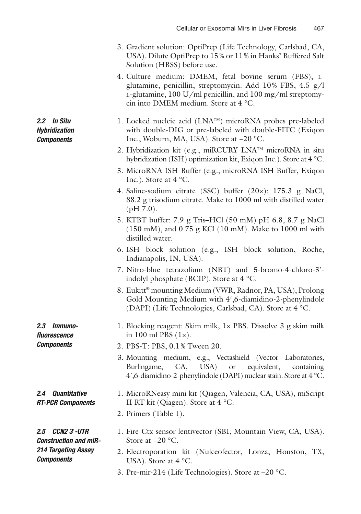- 3. Gradient solution: OptiPrep (Life Technology, Carlsbad, CA, USA). Dilute OptiPrep to 15 % or 11 % in Hanks' Buffered Salt Solution (HBSS) before use.
- 4. Culture medium: DMEM, fetal bovine serum (FBS), Lglutamine, penicillin, streptomycin. Add 10% FBS, 4.5 g/l L-glutamine, 100 U/ml penicillin, and 100 mg/ml streptomycin into DMEM medium. Store at  $4^{\circ}$ C.
- 1. Locked nucleic acid  $(LNA^{TM})$  microRNA probes pre-labeled with double-DIG or pre-labeled with double-FITC (Exiqon Inc., Woburn, MA, USA). Store at −20 °C.
	- 2. Hybridization kit (e.g., miRCURY LNA™ microRNA in situ hybridization (ISH) optimization kit, Exiqon Inc.). Store at 4 °C.
	- 3. MicroRNA ISH Buffer (e.g., microRNA ISH Buffer, Exiqon Inc.). Store at 4 °C.
	- 4. Saline-sodium citrate (SSC) buffer  $(20\times)$ : 175.3 g NaCl, 88.2 g trisodium citrate. Make to 1000 ml with distilled water  $(pH 7.0)$ .
	- 5. KTBT buffer : 7.9 g Tris–HCl (50 mM) pH 6.8, 8.7 g NaCl (150 mM), and 0.75 g KCl (10 mM). Make to 1000 ml with distilled water.
	- 6. ISH block solution (e.g., ISH block solution, Roche, Indianapolis, IN, USA).
	- 7. Nitro-blue tetrazolium (NBT) and 5-bromo-4-chloro-3′ indolyl phosphate (BCIP). Store at 4 °C.
	- 8. Eukitt® mounting Medium (VWR, Radnor, PA, USA), Prolong Gold Mounting Medium with 4',6-diamidino-2-phenylindole (DAPI) (Life Technologies, Carlsbad, CA). Store at 4 °C.

 1. Blocking reagent: Skim milk, 1× PBS . Dissolve 3 g skim milk in 100 ml PBS  $(1\times)$ .

- 2. PBS -T: PBS, 0.1 % Tween 20.
- 3. Mounting medium, e.g., Vectashield (Vector Laboratories, Burlingame, CA, USA) or equivalent, containing 4', 6- diamidino-2-phenylindole (DAPI) nuclear stain. Store at  $4^{\circ}$ C.
- 1. MicroRNeasy mini kit (Qiagen, Valencia, CA, USA), miScript II RT kit (Qiagen). Store at 4 °C.
- 2. Primers (Table [1](#page-3-0)).

*2.5 CCN2 3*′*- UTR Construction and miR-214 Targeting Assay Components*

*2.4 Quantitative RT- PCR Components*

*2.3 Immunofl uorescence Components*

*2.2 In Situ Hybridization Components*

- 1. Fire-Ctx sensor lentivector (SBI, Mountain View, CA, USA). Store at −20 °C.
- 2. Electroporation kit (Nulceofector, Lonza, Houston, TX, USA). Store at 4 °C.
- 3. Pre-mir-214(Life Technologies). Store at –20 °C.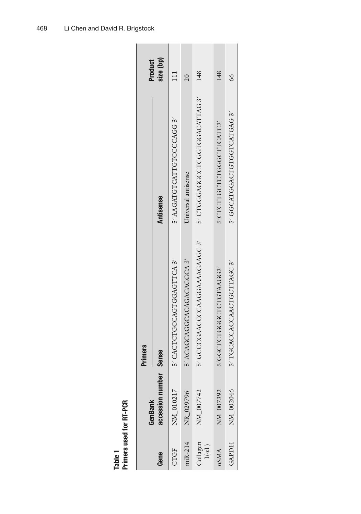<span id="page-3-0"></span>

|                           | GenBank          | <b>Primers</b>               |                              | Product         |
|---------------------------|------------------|------------------------------|------------------------------|-----------------|
| Gene                      | accession number | <b>Sense</b>                 | <b>Antisense</b>             | size (bp)       |
| CTGF                      | NM_010217        | 5' CACTGCCAGTGGAGTTCA 3'     | 5' AAGATGTCATTGTCCCCAGG 3'   |                 |
| niR-214                   | NR_029796        | 5' ACAGCAGGAAGACAGGCA 3'     | Universal antisense          | $\overline{20}$ |
| Collagen<br>$1(\alpha 1)$ | NM_007742        | 5' GCCGAACCCAAGGAAAAGAAGC 3' | 5' CTGGGAGGCTGGTGGACATTAG 3' | 148             |
| aSMA                      | NM_007392        | 5'GGCTCTGGCTGTAAGG3'         | 5'CTCTTGCTCTGGGCTTCATC3'     | 148             |
| GAPDH                     | NM_002046        | 5' TGCACCACCAACTGCTTAGC 3'   | 5' GGCATGGACTGTGGTCATGAG 3'  | $\delta$        |

 **Table 1 Primers used for RT-PCR**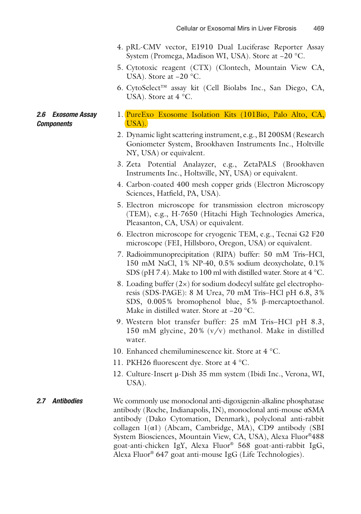- 4. pRL-CMV vector, E1910 Dual Luciferase Reporter Assay System (Promega, Madison WI, USA). Store at −20 °C.
- 5. Cytotoxic reagent (CTX) (Clontech, Mountain View CA, USA). Store at −20 °C.
- 6. CytoSelect™ assay kit (Cell Biolabs Inc., San Diego, CA, USA). Store at 4 °C.

#### 1. PureExo Exosome Isolation Kits (101Bio, Palo Alto, CA, USA). *2.6 Exosome Assay Components*

- 2. Dynamic light scattering instrument, e.g., BI 200SM (Research Goniometer System, Brookhaven Instruments Inc., Holtville NY, USA) or equivalent.
- 3. Zeta Potential Analayzer, e.g., ZetaPALS (Brookhaven Instruments Inc., Holtsville, NY, USA) or equivalent.
- 4. Carbon-coated 400 mesh copper grids (Electron Microscopy Sciences, Hatfield, PA, USA).
- 5. Electron microscope for transmission electron microscopy (TEM) , e.g., H-7650 (Hitachi High Technologies America, Pleasanton, CA, USA) or equivalent.
- 6. Electron microscope for cryogenic TEM, e.g., Tecnai G2 F20 microscope (FEI, Hillsboro, Oregon, USA) or equivalent.
- 7. Radioimmunoprecipitation (RIPA) buffer: 50 mM Tris-HCl, 150 mM NaCl, 1% NP-40, 0.5% sodium deoxycholate, 0.1% SDS (pH 7.4). Make to 100 ml with distilled water. Store at 4 °C.
- 8. Loading buffer  $(2x)$  for sodium dodecyl sulfate gel electrophoresis (SDS-PAGE): 8 M Urea, 70 mM Tris–HCl pH 6.8, 3% SDS, 0.005 % bromophenol blue, 5 % β-mercaptoethanol. Make in distilled water. Store at −20 °C.
- 9. Western blot transfer buffer: 25 mM Tris–HCl pH 8.3, 150 mM glycine,  $20\%$  (v/v) methanol. Make in distilled water.
- 10. Enhanced chemiluminescence kit. Store at  $4 \degree C$ .
- 11. PKH26 fluorescent dye. Store at 4 °C.
- 12. Culture-Insert μ-Dish 35 mm system (Ibidi Inc., Verona, WI, USA).
- We commonly use monoclonal anti-digoxigenin-alkaline phosphatase antibody (Roche, Indianapolis, IN), monoclonal anti-mouse αSMA antibody (Dako Cytomation, Denmark), polyclonal anti-rabbit collagen  $1(\alpha 1)$  (Abcam, Cambridge, MA), CD9 antibody (SBI System Biosciences, Mountain View, CA, USA), Alexa Fluor®488 goat-anti-chicken IgY, Alexa Fluor® 568 goat-anti-rabbit IgG, Alexa Fluor<sup>®</sup> 647 goat anti-mouse IgG (Life Technologies). *2.7 Antibodies*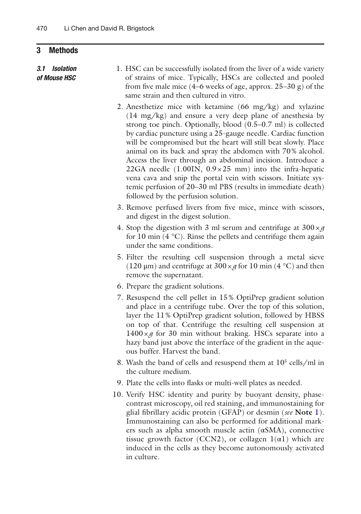#### <span id="page-5-0"></span>**3 Methods**

*3.1 Isolation of Mouse HSC*

 1. HSC can be successfully isolated from the liver of a wide variety of strains of mice. Typically, HSCs are collected and pooled from five male mice  $(4-6$  weeks of age, approx.  $25-30$  g) of the same strain and then cultured in vitro.

- 2. Anesthetize mice with ketamine  $(66 \text{ mg/kg})$  and xylazine (14 mg/kg) and ensure a very deep plane of anesthesiaby strong toe pinch. Optionally, blood (0.5–0.7 ml) is collected by cardiac puncture using a 25-gauge needle. Cardiac function will be compromised but the heart will still beat slowly. Place animal on its back and spray the abdomen with 70% alcohol. Access the liver through an abdominal incision. Introduce a 22GA needle  $(1.001N, 0.9 \times 25$  mm) into the infra-hepatic vena cava and snip the portal vein with scissors. Initiate systemic perfusion of 20–30 ml PBS (results in immediate death) followed by the perfusion solution.
- 3. Remove perfused livers from five mice, mince with scissors, and digest in the digest solution.
- 4. Stop the digestion with 3 ml serum and centrifuge at  $300 \times g$ for 10 min  $(4 \degree C)$ . Rinse the pellets and centrifuge them again under the same conditions.
- 5. Filter the resulting cell suspension through a metal sieve (120  $\mu$ m) and centrifuge at 300  $\times g$  for 10 min (4 °C) and then remove the supernatant.
- 6. Prepare the gradient solutions .
- 7. Resuspend the cell pellet in 15% OptiPrep gradient solution and place in a centrifuge tube. Over the top of this solution, layer the 11% OptiPrep gradient solution, followed by HBSS on top of that. Centrifuge the resulting cell suspension at  $1400 \times g$  for 30 min without braking. HSCs separate into a hazy band just above the interface of the gradient in the aqueous buffer. Harvest the band.
- 8. Wash the band of cells and resuspend them at  $10^5$  cells/ml in the culture medium.
- 9. Plate the cells into flasks or multi-well plates as needed.
- 10. Verify HSC identity and purity by buoyant density, phasecontrast microscopy, oil red staining, and immunostaining for glial fibrillary acidic protein (GFAP) or desmin (see Note [1](#page-13-0)). Immunostaining can also be performed for additional markers such as alpha smooth muscle actin  $(\alpha SMA)$ , connective tissue growth factor (CCN2), or collagen  $1(\alpha 1)$  which are induced in the cells as they become autonomously activated in culture.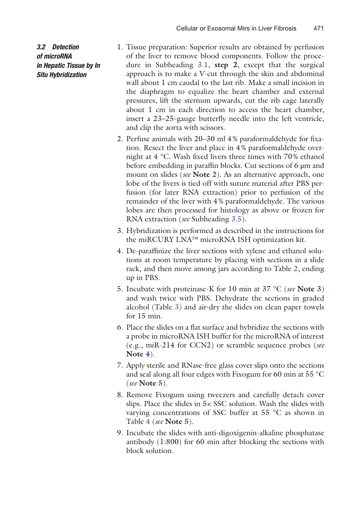*3.2 Detection of microRNA in Hepatic Tissue by In Situ Hybridization* 

- 1. Tissue preparation: Superior results are obtained by perfusion of the liver to remove blood components. Follow the procedure in Subheading [3.1](#page-5-0), **step 2**, except that the surgical approach is to make a V-cut through the skin and abdominal wall about 1 cm caudal to the last rib. Make a small incision in the diaphragm to equalize the heart chamber and external pressures, lift the sternum upwards, cut the rib cage laterally about 1 cm in each direction to access the heart chamber, insert a 23–25-gauge butterfly needle into the left ventricle, and clip the aorta with scissors.
- 2. Perfuse animals with  $20-30$  ml 4% paraformaldehyde for fixation. Resect the liver and place in  $4\%$  paraformaldehyde overnight at  $4 \degree C$ . Wash fixed livers three times with 70% ethanol before embedding in paraffin blocks. Cut sections of  $6 \mu m$  and mount on slides ( *see* **Note [2](#page-13-0)**). As an alternative approach, one lobe of the livers is tied off with suture material after PBS perfusion (for later RNA extraction) prior to perfusion of the remainder of the liver with 4% paraformaldehyde. The various lobes are then processed for histology as above or frozen for RNA extraction( *see* Subheading [3.5](#page-8-0)).
- 3. Hybridization is performed as described in the instructions for the miRCURY LNA™ microRNA ISH optimization kit.
- 4. De-paraffinize the liver sections with xylene and ethanol solutions at room temperature by placing with sections in a slide rack, and then move among jars according to Table [2,](#page-7-0) ending up in PBS .
- 5. Incubate with proteinase-Kfor 10 min at 37 °C ( *see* **Note [3](#page-13-0)**) and wash twice with PBS. Dehydrate the sections in graded alcohol (Table [3](#page-7-0)) and air-dry the slides on clean paper towels for 15 min.
- 6. Place the slides on a flat surface and hybridize the sections with a probe in microRNA ISH buffer for the microRNA of interest (e.g., miR-214 for CCN2) or scramble sequence probes (*see*) **Note [4](#page-13-0)**).
- 7. Apply sterile and RNase-freeglass cover slips onto the sections and seal along all four edges with Fixogum for 60 min at 55 °C ( *see* **Note [5](#page-13-0)**).
- 8. Remove Fixogum using tweezers and carefully detach cover slips. Place the slides in  $5 \times$  SSC solution. Wash the slides with varying concentrations of SSC buffer at 55 °C as shown in Table [4](#page-7-0) ( *see* **Note [5](#page-13-0)**).
- 9. Incubate the slides with anti-digoxigenin-alkaline phosphatase antibody (1:800) for 60 min after blocking the sections with block solution.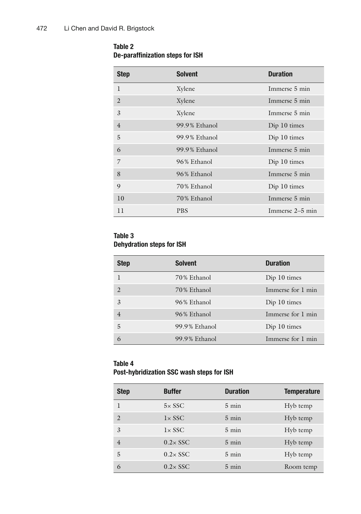#### <span id="page-7-0"></span> **Table 2 De-paraffinization steps for ISH**

| <b>Step</b>    | <b>Solvent</b> | <b>Duration</b> |
|----------------|----------------|-----------------|
| $\mathbf{I}$   | Xylene         | Immerse 5 min   |
| $\mathcal{L}$  | Xylene         | Immerse 5 min   |
| 3              | Xylene         | Immerse 5 min   |
| $\overline{4}$ | 99.9% Ethanol  | Dip 10 times    |
| 5              | 99.9% Ethanol  | Dip 10 times    |
| 6              | 99.9% Ethanol  | Immerse 5 min   |
| 7              | 96% Ethanol    | Dip 10 times    |
| 8              | 96% Ethanol    | Immerse 5 min   |
| 9              | 70% Ethanol    | Dip 10 times    |
| 10             | 70% Ethanol    | Immerse 5 min   |
| 11             | <b>PBS</b>     | Immerse 2–5 min |

#### **Table 3 Dehydration steps for ISH**

| <b>Step</b>   | <b>Solvent</b> | <b>Duration</b>   |
|---------------|----------------|-------------------|
|               | 70% Ethanol    | Dip 10 times      |
|               | 70% Ethanol    | Immerse for 1 min |
| $\mathcal{E}$ | 96% Ethanol    | Dip 10 times      |
|               | 96% Ethanol    | Immerse for 1 min |
| 5             | 99.9% Ethanol  | Dip 10 times      |
| 6             | 99.9% Ethanol  | Immerse for 1 min |

#### **Table 4 Post- hybridization SSC wash steps for ISH**

| <b>Step</b>    | <b>Buffer</b>    | <b>Duration</b> | <b>Temperature</b> |
|----------------|------------------|-----------------|--------------------|
|                | $5 \times$ SSC   | $5 \text{ min}$ | Hyb temp           |
| 2              | $1 \times SSC$   | $5 \text{ min}$ | Hyb temp           |
| 3              | $1 \times SSC$   | $5 \text{ min}$ | Hyb temp           |
| $\overline{4}$ | $0.2 \times$ SSC | $5 \text{ min}$ | Hyb temp           |
| 5              | $0.2 \times$ SSC | $5 \text{ min}$ | Hyb temp           |
| 6              | $0.2 \times$ SSC | $5 \text{ min}$ | Room temp          |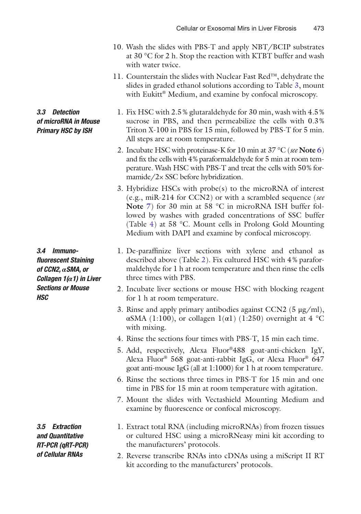- 10. Wash the slides with PBS -T and apply NBT/BCIP substrates at 30 °C for 2 h. Stop the reaction with KTBT bufferand wash with water twice.
- 11. Counterstain the slides with Nuclear Fast Red™, dehydrate the slides in graded ethanol solutions according to Table  $3$ , mount with Eukitt<sup>®</sup> Medium, and examine by confocal microscopy.
- 1. Fix HSC with 2.5 % glutaraldehyde for 30 min, wash with 4.5 % sucrose in PBS, and then permeabilize the cells with 0.3% Triton X-100 in PBS for 15 min, followed by PBS-T for 5 min. All steps are at room temperature.
	- 2. Incubate HSC with proteinase-Kfor 10 min at 37 °C ( *see* **Note [6](#page-13-0)**) and fix the cells with 4% paraformaldehyde for 5 min at room temperature. Wash HSC with PBS-T and treat the cells with 50% formamide/ $2 \times$  SSC before hybridization.
	- 3. Hybridize HSCs with probe(s) to the microRNA of interest (e.g., miR-214 for CCN2) or with a scrambled sequence (*see* **Note** [7](#page-13-0)) for 30 min at 58 °C in microRNA ISH buffer followed by washes with graded concentrations of SSC buffer (Table [4](#page-7-0)) at 58 °C. Mount cells in Prolong Gold Mounting Medium with DAPI and examine by confocal microscopy.
- 1. De-paraffinize liver sections with xylene and ethanol as described above (Table [2\)](#page-7-0). Fix cultured HSC with 4 % paraformaldehyde for 1 h at room temperature and then rinse the cells three times with PBS.
- 2. Incubate liver sections or mouse HSC with blocking reagent for 1 h at room temperature.
- 3. Rinse and apply primary antibodies against CCN2 (5  $\mu$ g/ml), αSMA (1:100), or collagen  $1(α1)$  (1:250) overnight at 4 °C with mixing.
- 4. Rinse the sections four times with PBS -T, 15 min each time.
- 5. Add, respectively, Alexa Fluor ®488 goat-anti-chicken IgY, Alexa Fluor<sup>®</sup> 568 goat-anti-rabbit IgG, or Alexa Fluor<sup>®</sup> 647 goat anti-mouse IgG (all at  $1:1000$ ) for 1 h at room temperature.
- 6. Rinse the sections three times in PBS -T for 15 min and one time in PBS for 15 min at room temperature with agitation.
- 7. Mount the slides with Vectashield Mounting Medium and examine by fluorescence or confocal microscopy.
- 1. Extract total RNA (including microRNAs) from frozen tissues or cultured HSC using a microRNeasy mini kit according to the manufacturers' protocols.
- 2. Reverse transcribe RNAs into cDNAs using a miScript II RT kit according to the manufacturers' protocols.

*3.4 Immunofl uorescent Staining of CCN2, αSMA, or Collagen 1(α1) in Liver Sections or Mouse HSC*

<span id="page-8-0"></span>*3.3 Detection of microRNA in Mouse Primary HSC by ISH*

*3.5 Extraction and Quantitative RT- PCR (qRT- PCR) of Cellular RNAs*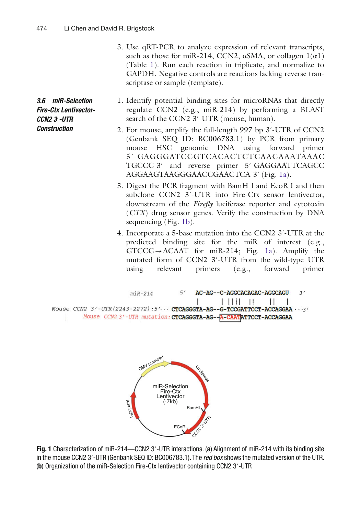*3.6 miR-Selection Fire-Ctx Lentivector-CCN2 3*′*- UTR Construction*

- 3. Use qRT-PCR to analyze expression of relevant transcripts, such as those for miR-214, CCN2,  $\alpha$ SMA, or collagen  $1(\alpha 1)$ (Table [1\)](#page-3-0). Run each reaction in triplicate, and normalize to GAPDH. Negative controls are reactions lacking reverse transcriptase or sample (template).
- 1. Identify potential binding sites for microRNAs that directly regulate  $CCN2$  (e.g., miR-214) by performing a BLAST search of the CCN2 3'-UTR (mouse, human).
	- 2. For mouse, amplify the full-length 997 bp 3′-UTR of CCN2 (Genbank SEQ ID: BC006783.1) by PCR from primary mouse HSC genomic DNA using forward primer 5′-GAGGGATCCGTCACACTCTCAACAAATAAAC TGCCC-3' and reverse primer 5'-GAGGAATTCAGCC AGGAAGTAAGGGAACCGAACTCA-3' (Fig. 1a).
	- 3. Digest the PCR fragment with BamH I and EcoR I and then subclone CCN2 3'-UTR into Fire-Ctx sensor lentivector, downstream of the *Firefly* luciferase reporter and cytotoxin ( *CTX*) drug sensor genes. Verify the construction by DNA sequencing (Fig. 1b).
	- 4. Incorporate a 5-base mutation into the CCN2 3′- UTRat the predicted binding site for the miR of interest (e.g.,  $GTCCG \rightarrow ACAAT$  for miR-214; Fig. 1a). Amplify the mutated form of CCN2 3'-UTR from the wild-type UTR using relevant primers (e.g., forward primer





 **Fig. 1** Characterization of miR-214 —CCN2 3′- UTR interactions. ( **a** ) Alignment of miR-214 with its binding site in the mouse CCN2 3′-UTR (Genbank SEQ ID: BC006783.1). The *red box* shows the mutated version of the UTR. (b) Organization of the miR-Selection Fire-Ctx lentivector containing CCN2 3'-UTR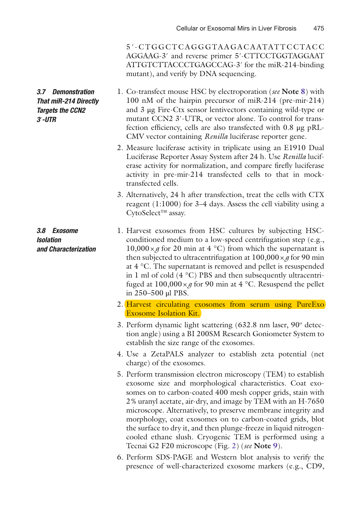5 ′-CTGGCTCAGGGTAAGACAATATTCCTACC AGGAAG-3' and reverse primer 5'-CTTCCTGGTAGGAAT ATTGTCTTACCCTGAGCCAG- 3′ for the miR-214-binding mutant), and verify by DNA sequencing.

- 1. Co-transfect mouse HSC by electroporation( *see* **Note [8](#page-13-0)**) with 100 nM of the hairpin precursor of miR-214 (pre-mir-214) and 3 μg Fire-Ctx sensor lentivectors containing wild-type or mutant CCN2 3'-UTR, or vector alone. To control for transfection efficiency, cells are also transfected with 0.8 μg pRL-CMV vector containing *Renilla* luciferase reporter gene.
	- 2. Measure luciferase activity in triplicate using an E1910 Dual Luciferase Reporter Assay System after 24 h. Use *Renilla* luciferase activity for normalization, and compare firefly luciferase activity in pre-mir-214 transfected cells to that in mocktransfected cells.
	- 3. Alternatively, 24 h after transfection, treat the cells with CTX reagent (1:1000) for 3–4 days. Assess the cell viability using a CytoSelect™ assay.
- 1. Harvest exosomes from HSC cultures by subjecting HSCconditioned medium to a low-speed centrifugation step (e.g.,  $10,000 \times g$  for 20 min at 4 °C) from which the supernatant is then subjected to ultracentrifugation at  $100,000 \times g$  for 90 min at  $4^{\circ}$ C. The supernatant is removed and pellet is resuspended in 1 ml of cold  $(4 \degree C)$  PBS and then subsequently ultracentrifuged at  $100,000 \times g$  for 90 min at 4 °C. Resuspend the pellet in 250–500 μl PBS.
	- 2. Harvest circulating exosomes from serum using PureExo Exosome Isolation Kit.
	- 3. Perform dynamic light scattering  $(632.8 \text{ nm} \text{ laser}, 90^{\circ} \text{ detector})$ tion angle) using a BI 200SM Research Goniometer System to establish the size range of the exosomes.
	- 4. Use a ZetaPALS analyzer to establish zeta potential (net charge) of the exosomes.
	- 5. Perform transmission electron microscopy (TEM) to establish exosome size and morphological characteristics. Coat exosomes on to carbon-coated 400 mesh copper grids, stain with 2% uranyl acetate, air-dry, and image by TEM with an H-7650 microscope. Alternatively, to preserve membrane integrity and morphology, coat exosomes on to carbon-coated grids, blot the surface to dry it, and then plunge-freeze in liquid nitrogencooled ethane slush. Cryogenic TEM is performed using a Tecnai G2 F20 microscope (Fig. [2](#page-11-0)) ( *see* **Note [9](#page-13-0)**).
	- 6. Perform SDS-PAGEand Western blot analysis to verify the presence of well-characterized exosome markers (e.g., CD9,

<span id="page-10-0"></span>*3.7 Demonstration That miR-214 Directly Targets the CCN2 3*′*- UTR* 

*3.8 Exosome Isolation and Characterization*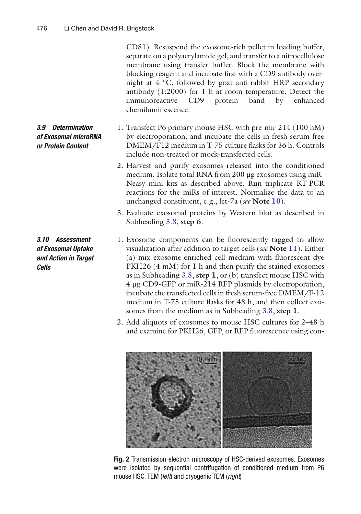CD81). Resuspend the exosome-rich pellet in loading buffer, separate on a polyacrylamide gel, and transfer to a nitrocellulose membrane using transfer buffer. Block the membrane with blocking reagent and incubate first with a CD9 antibody overnight at 4 °C, followed by goat anti-rabbit HRP secondary antibody  $(1:2000)$  for 1 h at room temperature. Detect the immunoreactive CD9 protein band by enhanced chemiluminescence .

- 1. Transfect P6 primary mouse HSC with pre-mir-214(100 nM) by electroporation, and incubate the cells in fresh serum-free DMEM/F12 medium in T-75 culture flasks for 36 h. Controls include non-treated or mock-transfected cells.
	- 2. Harvest and purify exosomes released into the conditioned medium. Isolate total RNA from 200 μg exosomes using miR-Neasy mini kits as described above. Run triplicate RT- PCR reactions for the miRs of interest. Normalize the data to an unchanged constituent, e.g., let-7a ( *see* **Note [10](#page-13-0)**).
	- 3. Evaluate exosomal proteins by Western blot as described in Subheading [3.8,](#page-10-0) **step 6**.
	- 1. Exosome components can be fluorescently tagged to allow visualization after addition to target cells ( *see* **Note [11](#page-13-0)**). Either  $(a)$  mix exosome-enriched cell medium with fluorescent dye PKH26 (4 mM) for 1 h and then purify the stained exosomes as in Subheading [3.8,](#page-10-0) **step 1**, or (b) transfect mouse HSC with 4 μg CD9-GFP or miR-214 RFP plasmids by electroporation, incubate the transfected cells in fresh serum-free DMEM /F- 12 medium in T-75 culture flasks for 48 h, and then collect exosomes from the medium as in Subheading [3.8,](#page-10-0) **step 1**.
	- 2. Add aliquots of exosomes to mouse HSC cultures for 2–48 h and examine for PKH26, GFP, or RFP fluorescence using con-



 **Fig. 2** Transmission electron microscopy of HSC-derived exosomes. Exosomes were isolated by sequential centrifugation of conditioned medium from P6 mouse HSC. TEM (*left*) and cryogenic TEM (right)

<span id="page-11-0"></span>*3.9 Determination of Exosomal microRNA or Protein Content*

*3.10 Assessment of Exosomal Uptake and Action in Target Cells*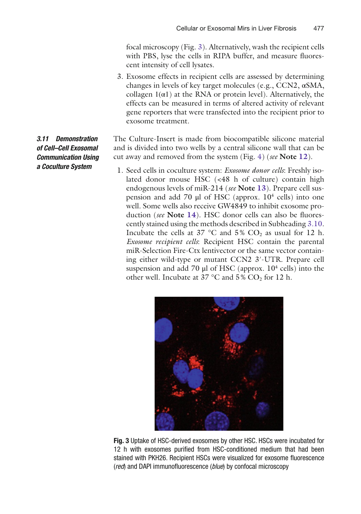focal microscopy(Fig. 3). Alternatively, wash the recipient cells with PBS, lyse the cells in RIPA buffer, and measure fluorescent intensity of cell lysates .

 3. Exosome effects in recipient cells are assessed by determining changes in levels of key target molecules (e.g., CCN2, αSMA, collagen  $1(\alpha 1)$  at the RNA or protein level). Alternatively, the effects can be measured in terms of altered activity of relevant gene reporters that were transfected into the recipient prior to exosome treatment.

The Culture-Insert is made from biocompatible silicone material and is divided into two wells by a central silicone wall that can be cut away and removed from the system (Fig. [4](#page-13-0)) ( *see* **Note [12](#page-13-0)**).

1. Seed cells in coculture system: *Exosome donor cells*: Freshly isolated donor mouse HSC (<48 h of culture) contain high endogenous levels of miR-214( *see* **Note [13](#page-13-0)**). Prepare cell suspension and add 70  $\mu$ l of HSC (approx. 10<sup>4</sup> cells) into one well. Some wells also receive GW4849 to inhibit exosome production (*see* **Note [14](#page-13-0)**). HSC donor cells can also be fluorescently stained using the methods described in Subheading [3.10.](#page-11-0) Incubate the cells at 37 °C and 5%  $CO<sub>2</sub>$  as usual for 12 h. *Exosome recipient cells*: Recipient HSC contain the parental miR-Selection Fire-Ctx lentivector or the same vector containing either wild-type or mutant CCN2 3′-UTR. Prepare cell suspension and add 70  $\mu$ l of HSC (approx. 10<sup>4</sup> cells) into the other well. Incubate at 37 °C and  $5\%$  CO<sub>2</sub> for 12 h.



 **Fig. 3** Uptake of HSC-derived exosomes by other HSC. HSCs were incubated for 12 h with exosomes purified from HSC-conditioned medium that had been stained with PKH26. Recipient HSCs were visualized for exosome fluorescence (*red*) and DAPI immunofluorescence (*blue*) by confocal microscopy

*3.11 Demonstration of Cell–Cell Exosomal Communication Using a Coculture Syste m*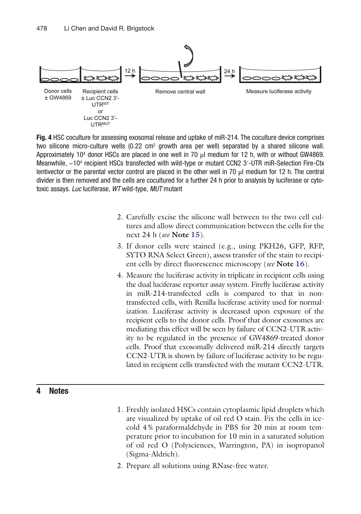<span id="page-13-0"></span>

 **Fig. 4** HSC coculture for assessing exosomal release and uptake of miR-214 . The coculture device comprises two silicone micro-culture wells  $(0.22 \text{ cm}^2 \text{ growth area per well})$  separated by a shared silicone wall. Approximately 10<sup>4</sup> donor HSCs are placed in one well in 70  $\mu$ l medium for 12 h, with or without GW4869. Meanwhile, ~10<sup>4</sup> recipient HSCs transfected with wild-type or mutant CCN2 3'-UTR miR-Selection Fire-Ctx lentivector or the parental vector control are placed in the other well in 70  $\mu$ l medium for 12 h. The central divider is then removed and the cells are cocultured for a further 24 h prior to analysis by luciferase or cytotoxic assays. *Luc* luciferase, *WT* wild-type, *MUT* mutant

- 2. Carefully excise the silicone wall between to the two cell cultures and allow direct communication between the cells for the next 24 h ( *see* **Note 15**).
- 3. If donor cells were stained (e.g., using PKH26, GFP, RFP, SYTO RNA Select Green), assess transfer of the stain to recipient cells by direct fluorescence microscopy (*see* Note 16).
- 4. Measure the luciferase activity in triplicate in recipient cells using the dual luciferase reporter assay system. Firefly luciferase activity in miR-214 -transfected cells is compared to that in nontransfected cells, with Renilla luciferase activity used for normalization. Luciferase activity is decreased upon exposure of the recipient cells to the donor cells. Proof that donor exosomes are mediating this effect will be seen by failure of CCN2-UTR activity to be regulated in the presence of GW4869-treated donor cells. Proof that exosomally delivered miR-214 directly targets CCN2-UTR is shown by failure of luciferase activity to be regulated in recipient cells transfected with the mutant CCN2-UTR.

#### **4 Notes**

- 1. Freshly isolated HSCs contain cytoplasmic lipid dropletswhich are visualized by uptake of oil red O stain. Fix the cells in icecold  $4\%$  paraformaldehyde in PBS for 20 min at room temperature prior to incubation for 10 min in a saturated solution of oil red O (Polysciences, Warrington, PA) in isopropanol (Sigma-Aldrich).
- 2. Prepare all solutions using RNase-free water.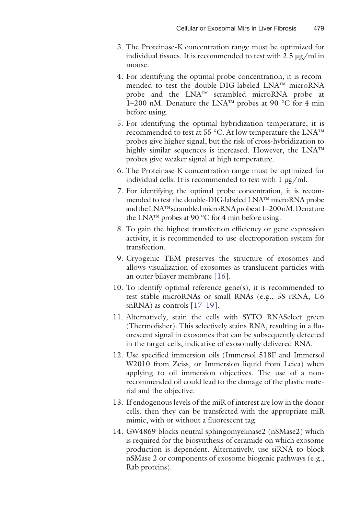- 3. The Proteinase-K concentration range must be optimized for individual tissues. It is recommended to test with  $2.5 \mu g/ml$  in mouse.
- 4. For identifying the optimal probe concentration, it is recommended to test the double-DIG-labeled  $LNA<sup>TM</sup>$  microRNA probe and the LNA™ scrambled microRNA probe at 1–200 nM. Denature the LNA<sup>™</sup> probes at 90 °C for 4 min before using.
- 5. For identifying the optimal hybridization temperature , it is recommended to test at 55 °C. At low temperature the  $LNA^{TM}$ probes give higher signal, but the risk of cross-hybridization to highly similar sequences is increased. However, the LNA™ probes give weaker signal at high temperature.
- 6. The Proteinase-K concentration range must be optimized for individual cells. It is recommended to test with  $1 \mu g/ml$ .
- 7. For identifying the optimal probe concentration, it is recommended to test the double-DIG-labeled LNA™ microRNA probe and the LNA™ scrambled microRNA probeat 1–200 nM. Denature the LNA<sup>™</sup> probes at 90 °C for 4 min before using.
- 8. To gain the highest transfection efficiency or gene expression activity, it is recommended to use electroporation system for transfection.
- 9. Cryogenic TEM preserves the structure of exosomes and allows visualization of exosomes as translucent particles with an outer bilayer membrane [ [16\]](#page-15-0).
- 10. To identify optimal reference gene(s), it is recommended to test stable microRNAs or small RNAs (e.g., 5S rRNA, U6 snRNA) as controls  $[17-19]$ .
- 11. Alternatively, stain the cells with SYTO RNASelect green (Thermofisher). This selectively stains RNA, resulting in a fluorescent signal in exosomes that can be subsequently detected in the target cells, indicative of exosomally delivered RNA.
- 12. Use specified immersion oils (Immersol 518F and Immersol W2010 from Zeiss, or Immersion liquid from Leica) when applying to oil immersion objectives. The use of a nonrecommended oil could lead to the damage of the plastic material and the objective.
- 13. If endogenous levels of the miR of interest are low in the donor cells, then they can be transfected with the appropriate miR mimic, with or without a fluorescent tag.
- 14. GW4869 blocks neutral sphingomyelinase2 (nSMase2) which is required for the biosynthesis of ceramide on which exosome production is dependent. Alternatively, use siRNA to block nSMase 2 or components of exosome biogenic pathways (e.g., Rab proteins).